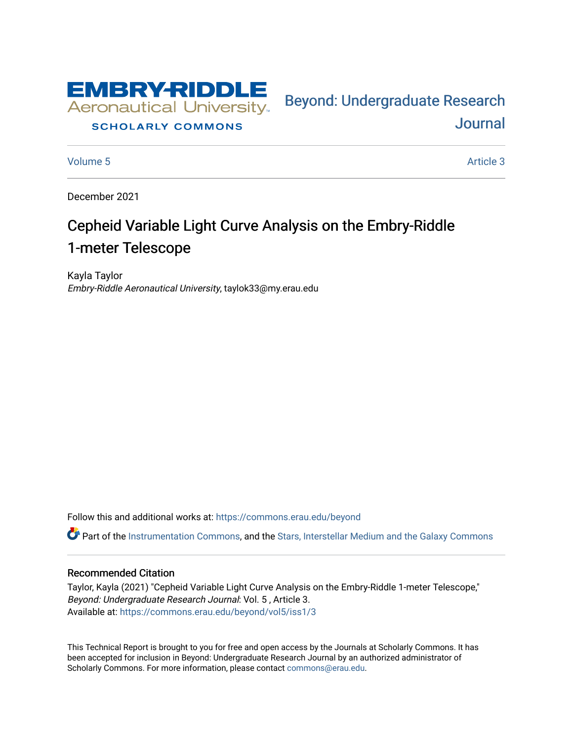

# **SCHOLARLY COMMONS**

[Volume 5](https://commons.erau.edu/beyond/vol5) Article 3

**Journal** 

Bey[ond: Undergraduate Resear](https://commons.erau.edu/beyond)ch

December 2021

# Cepheid Variable Light Curve Analysis on the Embry-Riddle 1-meter Telescope

Kayla Taylor Embry-Riddle Aeronautical University, taylok33@my.erau.edu

Follow this and additional works at: [https://commons.erau.edu/beyond](https://commons.erau.edu/beyond?utm_source=commons.erau.edu%2Fbeyond%2Fvol5%2Fiss1%2F3&utm_medium=PDF&utm_campaign=PDFCoverPages) 

**C** Part of the [Instrumentation Commons,](http://network.bepress.com/hgg/discipline/125?utm_source=commons.erau.edu%2Fbeyond%2Fvol5%2Fiss1%2F3&utm_medium=PDF&utm_campaign=PDFCoverPages) and the [Stars, Interstellar Medium and the Galaxy Commons](http://network.bepress.com/hgg/discipline/127?utm_source=commons.erau.edu%2Fbeyond%2Fvol5%2Fiss1%2F3&utm_medium=PDF&utm_campaign=PDFCoverPages)

## Recommended Citation

Taylor, Kayla (2021) "Cepheid Variable Light Curve Analysis on the Embry-Riddle 1-meter Telescope," Beyond: Undergraduate Research Journal: Vol. 5 , Article 3. Available at: [https://commons.erau.edu/beyond/vol5/iss1/3](https://commons.erau.edu/beyond/vol5/iss1/3?utm_source=commons.erau.edu%2Fbeyond%2Fvol5%2Fiss1%2F3&utm_medium=PDF&utm_campaign=PDFCoverPages) 

This Technical Report is brought to you for free and open access by the Journals at Scholarly Commons. It has been accepted for inclusion in Beyond: Undergraduate Research Journal by an authorized administrator of Scholarly Commons. For more information, please contact [commons@erau.edu.](mailto:commons@erau.edu)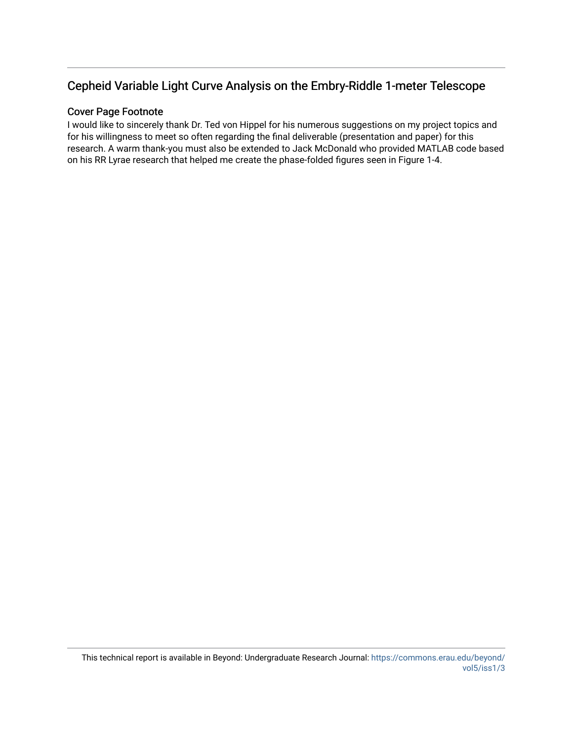# Cepheid Variable Light Curve Analysis on the Embry-Riddle 1-meter Telescope

# Cover Page Footnote

I would like to sincerely thank Dr. Ted von Hippel for his numerous suggestions on my project topics and for his willingness to meet so often regarding the final deliverable (presentation and paper) for this research. A warm thank-you must also be extended to Jack McDonald who provided MATLAB code based on his RR Lyrae research that helped me create the phase-folded figures seen in Figure 1-4.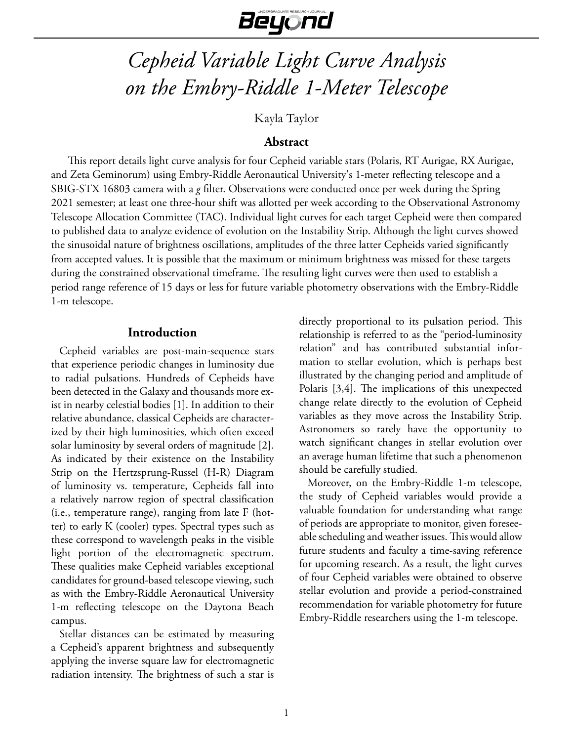# Beyond

# *Cepheid Variable Light Curve Analysis on the Embry-Riddle 1-Meter Telescope*

Kayla Taylor

# **Abstract**

This report details light curve analysis for four Cepheid variable stars (Polaris, RT Aurigae, RX Aurigae, and Zeta Geminorum) using Embry-Riddle Aeronautical University's 1-meter reflecting telescope and a SBIG-STX 16803 camera with a *g* filter. Observations were conducted once per week during the Spring 2021 semester; at least one three-hour shift was allotted per week according to the Observational Astronomy Telescope Allocation Committee (TAC). Individual light curves for each target Cepheid were then compared to published data to analyze evidence of evolution on the Instability Strip. Although the light curves showed the sinusoidal nature of brightness oscillations, amplitudes of the three latter Cepheids varied significantly from accepted values. It is possible that the maximum or minimum brightness was missed for these targets during the constrained observational timeframe. The resulting light curves were then used to establish a period range reference of 15 days or less for future variable photometry observations with the Embry-Riddle 1-m telescope.

# **Introduction**

Cepheid variables are post-main-sequence stars that experience periodic changes in luminosity due to radial pulsations. Hundreds of Cepheids have been detected in the Galaxy and thousands more exist in nearby celestial bodies [1]. In addition to their relative abundance, classical Cepheids are characterized by their high luminosities, which often exceed solar luminosity by several orders of magnitude [2]. As indicated by their existence on the Instability Strip on the Hertzsprung-Russel (H-R) Diagram of luminosity vs. temperature, Cepheids fall into a relatively narrow region of spectral classification (i.e., temperature range), ranging from late F (hotter) to early K (cooler) types. Spectral types such as these correspond to wavelength peaks in the visible light portion of the electromagnetic spectrum. These qualities make Cepheid variables exceptional candidates for ground-based telescope viewing, such as with the Embry-Riddle Aeronautical University 1-m reflecting telescope on the Daytona Beach campus.

Stellar distances can be estimated by measuring a Cepheid's apparent brightness and subsequently applying the inverse square law for electromagnetic radiation intensity. The brightness of such a star is

directly proportional to its pulsation period. This relationship is referred to as the "period-luminosity relation" and has contributed substantial information to stellar evolution, which is perhaps best illustrated by the changing period and amplitude of Polaris [3,4]. The implications of this unexpected change relate directly to the evolution of Cepheid variables as they move across the Instability Strip. Astronomers so rarely have the opportunity to watch significant changes in stellar evolution over an average human lifetime that such a phenomenon should be carefully studied.

Moreover, on the Embry-Riddle 1-m telescope, the study of Cepheid variables would provide a valuable foundation for understanding what range of periods are appropriate to monitor, given foreseeable scheduling and weather issues. This would allow future students and faculty a time-saving reference for upcoming research. As a result, the light curves of four Cepheid variables were obtained to observe stellar evolution and provide a period-constrained recommendation for variable photometry for future Embry-Riddle researchers using the 1-m telescope.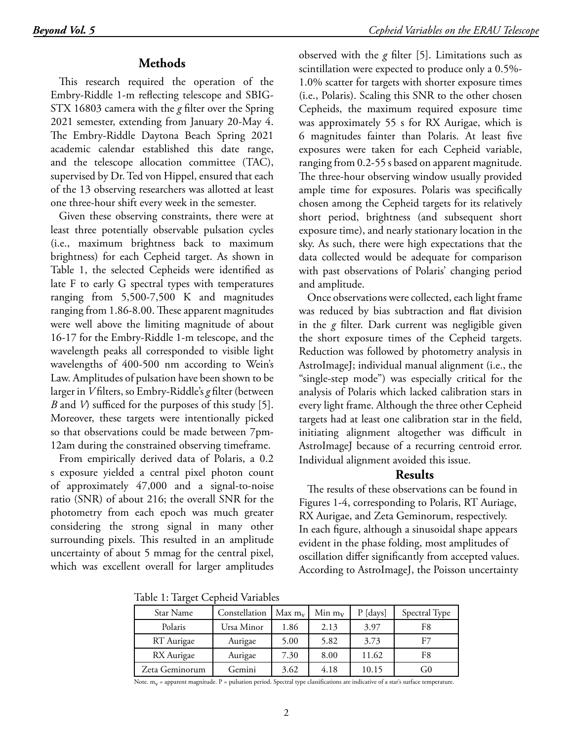# **Methods**

This research required the operation of the Embry-Riddle 1-m reflecting telescope and SBIG-STX 16803 camera with the *g* filter over the Spring 2021 semester, extending from January 20-May 4. The Embry-Riddle Daytona Beach Spring 2021 academic calendar established this date range, and the telescope allocation committee (TAC), supervised by Dr. Ted von Hippel, ensured that each of the 13 observing researchers was allotted at least one three-hour shift every week in the semester.

Given these observing constraints, there were at least three potentially observable pulsation cycles (i.e., maximum brightness back to maximum brightness) for each Cepheid target. As shown in Table 1, the selected Cepheids were identified as late F to early G spectral types with temperatures ranging from 5,500-7,500 K and magnitudes ranging from 1.86-8.00. These apparent magnitudes were well above the limiting magnitude of about 16-17 for the Embry-Riddle 1-m telescope, and the wavelength peaks all corresponded to visible light wavelengths of 400-500 nm according to Wein's Law. Amplitudes of pulsation have been shown to be larger in *V* filters, so Embry-Riddle's *g* filter (between *B* and *V*) sufficed for the purposes of this study [5]. Moreover, these targets were intentionally picked so that observations could be made between 7pm-12am during the constrained observing timeframe.

From empirically derived data of Polaris, a 0.2 s exposure yielded a central pixel photon count of approximately 47,000 and a signal-to-noise ratio (SNR) of about 216; the overall SNR for the photometry from each epoch was much greater considering the strong signal in many other surrounding pixels. This resulted in an amplitude uncertainty of about 5 mmag for the central pixel, which was excellent overall for larger amplitudes

observed with the *g* filter [5]. Limitations such as scintillation were expected to produce only a 0.5%- 1.0% scatter for targets with shorter exposure times (i.e., Polaris). Scaling this SNR to the other chosen Cepheids, the maximum required exposure time was approximately 55 s for RX Aurigae, which is 6 magnitudes fainter than Polaris. At least five exposures were taken for each Cepheid variable, ranging from 0.2-55 s based on apparent magnitude. The three-hour observing window usually provided ample time for exposures. Polaris was specifically chosen among the Cepheid targets for its relatively short period, brightness (and subsequent short exposure time), and nearly stationary location in the sky. As such, there were high expectations that the data collected would be adequate for comparison with past observations of Polaris' changing period and amplitude.

Once observations were collected, each light frame was reduced by bias subtraction and flat division in the *g* filter. Dark current was negligible given the short exposure times of the Cepheid targets. Reduction was followed by photometry analysis in AstroImageJ; individual manual alignment (i.e., the "single-step mode") was especially critical for the analysis of Polaris which lacked calibration stars in every light frame. Although the three other Cepheid targets had at least one calibration star in the field, initiating alignment altogether was difficult in AstroImageJ because of a recurring centroid error. Individual alignment avoided this issue.

# **Results**

The results of these observations can be found in Figures 1-4, corresponding to Polaris, RT Auriage, RX Aurigae, and Zeta Geminorum, respectively. In each figure, although a sinusoidal shape appears evident in the phase folding, most amplitudes of oscillation differ significantly from accepted values. According to AstroImageJ, the Poisson uncertainty

Table 1: Target Cepheid Variables

| Star Name      | Constellation | $Max m_v$ | Min $m_v$ | P [days] | Spectral Type |
|----------------|---------------|-----------|-----------|----------|---------------|
| Polaris        | Ursa Minor    | 1.86      | 2.13      | 3.97     | F8            |
| RT Aurigae     | Aurigae       | 5.00      | 5.82      | 3.73     |               |
| RX Aurigae     | Aurigae       | 7.30      | 8.00      | 11.62    | F8            |
| Zeta Geminorum | Gemini        | 3.62      | 4.18      | 10.15    | G0            |

Note.  $m_v$  = apparent magnitude. P = pulsation period. Spectral type classifications are indicative of a star's surface temperature.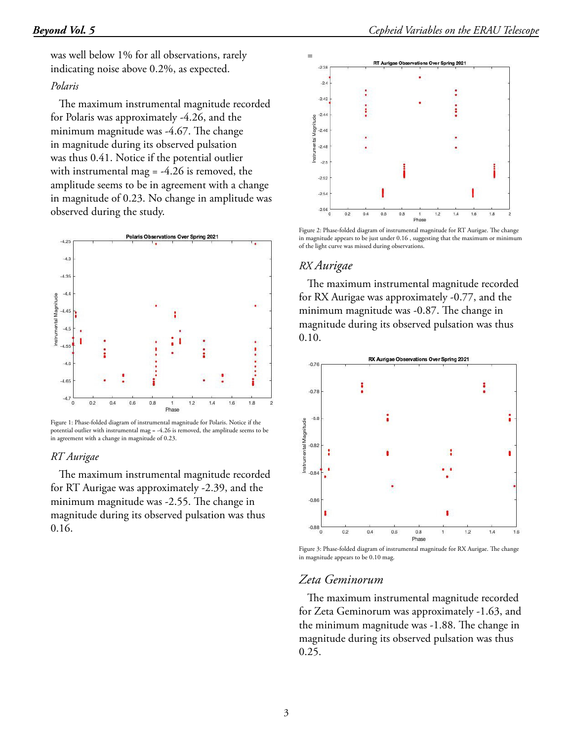was well below 1% for all observations, rarely indicating noise above 0.2%, as expected.

#### *Polaris*

The maximum instrumental magnitude recorded for Polaris was approximately -4.26, and the minimum magnitude was -4.67. The change in magnitude during its observed pulsation was thus 0.41. Notice if the potential outlier with instrumental mag = -4.26 is removed, the amplitude seems to be in agreement with a change in magnitude of 0.23. No change in amplitude was observed during the study.



Figure 1: Phase-folded diagram of instrumental magnitude for Polaris. Notice if the potential outlier with instrumental mag = -4.26 is removed, the amplitude seems to be in agreement with a change in magnitude of 0.23.

#### *RT Aurigae*

The maximum instrumental magnitude recorded for RT Aurigae was approximately -2.39, and the minimum magnitude was -2.55. The change in magnitude during its observed pulsation was thus 0.16.



Figure 2: Phase-folded diagram of instrumental magnitude for RT Aurigae. The change in magnitude appears to be just under 0.16 , suggesting that the maximum or minimum of the light curve was missed during observations.

#### *RX Aurigae*

The maximum instrumental magnitude recorded for RX Aurigae was approximately -0.77, and the minimum magnitude was -0.87. The change in magnitude during its observed pulsation was thus 0.10.



Figure 3: Phase-folded diagram of instrumental magnitude for RX Aurigae. The change in magnitude appears to be 0.10 mag.

# *Zeta Geminorum*

The maximum instrumental magnitude recorded for Zeta Geminorum was approximately -1.63, and the minimum magnitude was -1.88. The change in magnitude during its observed pulsation was thus 0.25.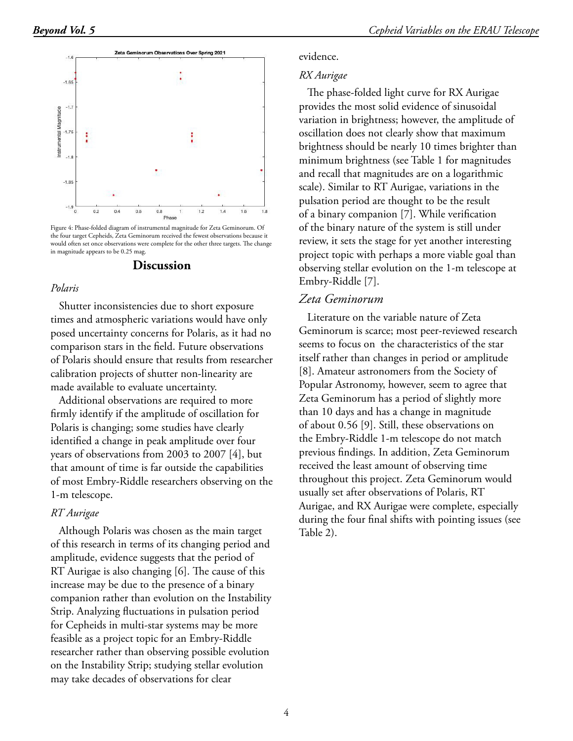evidence.

*RX Aurigae*



Figure 4: Phase-folded diagram of instrumental magnitude for Zeta Geminorum. Of the four target Cepheids, Zeta Geminorum received the fewest observations because it would often set once observations were complete for the other three targets. The change in magnitude appears to be 0.25 mag.

#### **Discussion**

#### *Polaris*

Shutter inconsistencies due to short exposure times and atmospheric variations would have only posed uncertainty concerns for Polaris, as it had no comparison stars in the field. Future observations of Polaris should ensure that results from researcher calibration projects of shutter non-linearity are made available to evaluate uncertainty.

Additional observations are required to more firmly identify if the amplitude of oscillation for Polaris is changing; some studies have clearly identified a change in peak amplitude over four years of observations from 2003 to 2007 [4], but that amount of time is far outside the capabilities of most Embry-Riddle researchers observing on the 1-m telescope.

#### *RT Aurigae*

Although Polaris was chosen as the main target of this research in terms of its changing period and amplitude, evidence suggests that the period of RT Aurigae is also changing [6]. The cause of this increase may be due to the presence of a binary companion rather than evolution on the Instability Strip. Analyzing fluctuations in pulsation period for Cepheids in multi-star systems may be more feasible as a project topic for an Embry-Riddle researcher rather than observing possible evolution on the Instability Strip; studying stellar evolution may take decades of observations for clear

review, it sets the stage for yet another interesting project topic with perhaps a more viable goal than observing stellar evolution on the 1-m telescope at Embry-Riddle [7]. *Zeta Geminorum* Literature on the variable nature of Zeta Geminorum is scarce; most peer-reviewed research seems to focus on the characteristics of the star itself rather than changes in period or amplitude [8]. Amateur astronomers from the Society of Popular Astronomy, however, seem to agree that Zeta Geminorum has a period of slightly more than 10 days and has a change in magnitude of about 0.56 [9]. Still, these observations on the Embry-Riddle 1-m telescope do not match previous findings. In addition, Zeta Geminorum received the least amount of observing time throughout this project. Zeta Geminorum would usually set after observations of Polaris, RT

The phase-folded light curve for RX Aurigae provides the most solid evidence of sinusoidal variation in brightness; however, the amplitude of oscillation does not clearly show that maximum brightness should be nearly 10 times brighter than minimum brightness (see Table 1 for magnitudes and recall that magnitudes are on a logarithmic scale). Similar to RT Aurigae, variations in the pulsation period are thought to be the result of a binary companion [7]. While verification of the binary nature of the system is still under

Aurigae, and RX Aurigae were complete, especially during the four final shifts with pointing issues (see Table 2).